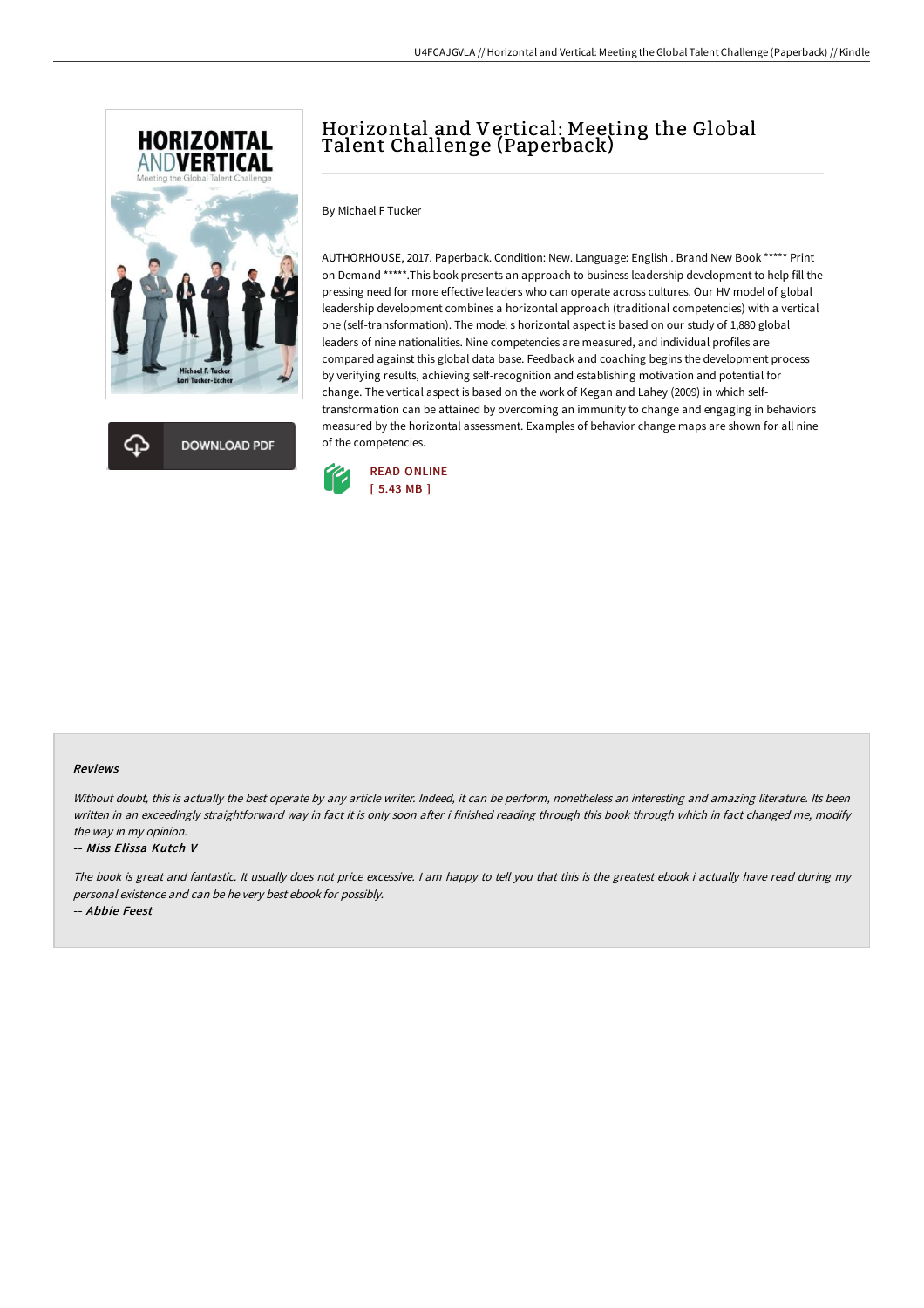



# Horizontal and Vertical: Meeting the Global Talent Challenge (Paperback)

By Michael F Tucker

AUTHORHOUSE, 2017. Paperback. Condition: New. Language: English . Brand New Book \*\*\*\*\* Print on Demand \*\*\*\*\*.This book presents an approach to business leadership development to help fill the pressing need for more effective leaders who can operate across cultures. Our HV model of global leadership development combines a horizontal approach (traditional competencies) with a vertical one (self-transformation). The model s horizontal aspect is based on our study of 1,880 global leaders of nine nationalities. Nine competencies are measured, and individual profiles are compared against this global data base. Feedback and coaching begins the development process by verifying results, achieving self-recognition and establishing motivation and potential for change. The vertical aspect is based on the work of Kegan and Lahey (2009) in which selftransformation can be attained by overcoming an immunity to change and engaging in behaviors measured by the horizontal assessment. Examples of behavior change maps are shown for all nine of the competencies.



### Reviews

Without doubt, this is actually the best operate by any article writer. Indeed, it can be perform, nonetheless an interesting and amazing literature. Its been written in an exceedingly straightforward way in fact it is only soon after i finished reading through this book through which in fact changed me, modify the way in my opinion.

#### -- Miss Elissa Kutch V

The book is great and fantastic. It usually does not price excessive. <sup>I</sup> am happy to tell you that this is the greatest ebook i actually have read during my personal existence and can be he very best ebook for possibly.

-- Abbie Feest